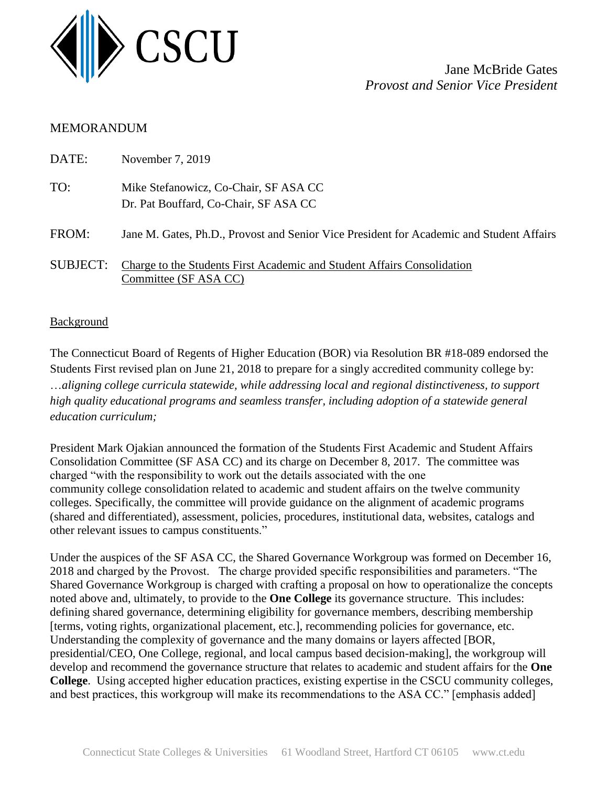

Jane McBride Gates *Provost and Senior Vice President*

# MEMORANDUM

| DATE:           | November 7, 2019                                                                                 |
|-----------------|--------------------------------------------------------------------------------------------------|
| TO:             | Mike Stefanowicz, Co-Chair, SF ASA CC<br>Dr. Pat Bouffard, Co-Chair, SF ASA CC                   |
| FROM:           | Jane M. Gates, Ph.D., Provost and Senior Vice President for Academic and Student Affairs         |
| <b>SUBJECT:</b> | Charge to the Students First Academic and Student Affairs Consolidation<br>Committee (SF ASA CC) |

## **Background**

The Connecticut Board of Regents of Higher Education (BOR) via Resolution BR #18-089 endorsed the Students First revised plan on June 21, 2018 to prepare for a singly accredited community college by: …*aligning college curricula statewide, while addressing local and regional distinctiveness, to support high quality educational programs and seamless transfer, including adoption of a statewide general education curriculum;*

President Mark Ojakian announced the formation of the Students First Academic and Student Affairs Consolidation Committee (SF ASA CC) and its charge on December 8, 2017. The committee was charged "with the responsibility to work out the details associated with the one community college consolidation related to academic and student affairs on the twelve community colleges. Specifically, the committee will provide guidance on the alignment of academic programs (shared and differentiated), assessment, policies, procedures, institutional data, websites, catalogs and other relevant issues to campus constituents."

Under the auspices of the SF ASA CC, the Shared Governance Workgroup was formed on December 16, 2018 and charged by the Provost. The charge provided specific responsibilities and parameters. "The Shared Governance Workgroup is charged with crafting a proposal on how to operationalize the concepts noted above and, ultimately, to provide to the **One College** its governance structure. This includes: defining shared governance, determining eligibility for governance members, describing membership [terms, voting rights, organizational placement, etc.], recommending policies for governance, etc. Understanding the complexity of governance and the many domains or layers affected [BOR, presidential/CEO, One College, regional, and local campus based decision-making], the workgroup will develop and recommend the governance structure that relates to academic and student affairs for the **One College**. Using accepted higher education practices, existing expertise in the CSCU community colleges, and best practices, this workgroup will make its recommendations to the ASA CC." [emphasis added]